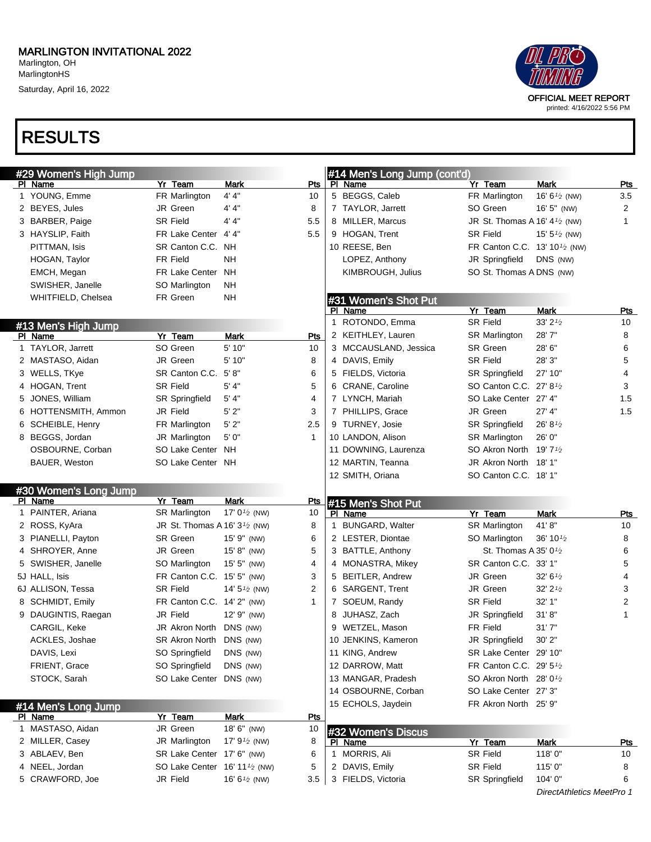Saturday, April 16, 2022



printed: 4/16/2022 5:56 PM

| #29 Women's High Jump |                                            |                          |              | #14 Men's Long Jump (cont'd) |                                                        |                                      |                |
|-----------------------|--------------------------------------------|--------------------------|--------------|------------------------------|--------------------------------------------------------|--------------------------------------|----------------|
| PI Name               | Yr Team                                    | Mark                     | Pts          | PI Name                      | Yr Team                                                | <b>Mark</b>                          | <b>Pts</b>     |
| 1 YOUNG, Emme         | FR Marlington                              | 4' 4''                   | 10           | 5 BEGGS, Caleb               | FR Marlington                                          | 16' $6^{1/2}$ (NW)                   | 3.5            |
| 2 BEYES, Jules        | JR Green                                   | 4' 4"                    | 8            | 7 TAYLOR, Jarrett            | SO Green                                               | 16' 5" (NW)                          | $\overline{2}$ |
| 3 BARBER, Paige       | <b>SR Field</b>                            | 4' 4"                    | 5.5          | 8 MILLER, Marcus             | JR St. Thomas A 16' $4\frac{1}{2}$ (NW)                |                                      | 1              |
| 3 HAYSLIP, Faith      | FR Lake Center                             | 4' 4"                    | 5.5          | 9 HOGAN, Trent               | <b>SR Field</b>                                        | 15' $5\frac{1}{2}$ (NW)              |                |
| PITTMAN, Isis         | SR Canton C.C. NH                          |                          |              | 10 REESE, Ben                | FR Canton C.C. 13' 10 <sup>1</sup> / <sub>2</sub> (NW) |                                      |                |
| HOGAN, Taylor         | FR Field                                   | <b>NH</b>                |              | LOPEZ, Anthony               | JR Springfield                                         | DNS (NW)                             |                |
| EMCH, Megan           | FR Lake Center                             | <b>NH</b>                |              | KIMBROUGH, Julius            | SO St. Thomas A DNS (NW)                               |                                      |                |
| SWISHER, Janelle      | SO Marlington                              | <b>NH</b>                |              |                              |                                                        |                                      |                |
| WHITFIELD, Chelsea    | FR Green                                   | <b>NH</b>                |              | #31 Women's Shot Put         |                                                        |                                      |                |
|                       |                                            |                          |              | PI Name                      | Yr Team                                                | <b>Mark</b>                          | <b>Pts</b>     |
| #13 Men's High Jump   |                                            |                          |              | ROTONDO, Emma<br>1.          | <b>SR Field</b>                                        | $33'$ 2 $\frac{1}{2}$                | 10             |
| PI Name               | Yr Team                                    | <b>Mark</b>              | Pts          | 2 KEITHLEY, Lauren           | <b>SR Marlington</b>                                   | 28'7"                                | 8              |
| 1 TAYLOR, Jarrett     | SO Green                                   | 5' 10"                   | 10           | 3 MCCAUSLAND, Jessica        | <b>SR Green</b>                                        | 28' 6"                               | 6              |
| 2 MASTASO, Aidan      | JR Green                                   | 5' 10"                   | 8            | 4 DAVIS, Emily               | <b>SR Field</b>                                        | 28' 3"                               | 5              |
| 3 WELLS, TKye         | SR Canton C.C.                             | 5' 8''                   | 6            | 5 FIELDS, Victoria           | <b>SR Springfield</b>                                  | 27' 10"                              | 4              |
| 4 HOGAN, Trent        | <b>SR Field</b>                            | 5' 4"                    | 5            | 6 CRANE, Caroline            | SO Canton C.C. 27' 8 <sup>1</sup> / <sub>2</sub>       |                                      | 3              |
| JONES, William<br>5   | <b>SR Springfield</b>                      | 5' 4"                    | 4            | 7 LYNCH, Mariah              | SO Lake Center 27' 4"                                  |                                      | 1.5            |
| 6 HOTTENSMITH, Ammon  | JR Field                                   | 5'2"                     | 3            | 7 PHILLIPS, Grace            | JR Green                                               | $27'$ 4"                             | 1.5            |
| 6 SCHEIBLE, Henry     | FR Marlington                              | 5'2"                     | 2.5          | 9 TURNEY, Josie              | <b>SR Springfield</b>                                  | 26' 81/2                             |                |
| 8 BEGGS, Jordan       | JR Marlington                              | 5'0''                    | $\mathbf{1}$ | 10 LANDON, Alison            | <b>SR Marlington</b>                                   | 26' 0"                               |                |
| OSBOURNE, Corban      | SO Lake Center NH                          |                          |              | 11 DOWNING, Laurenza         | SO Akron North                                         | 19' $7\frac{1}{2}$                   |                |
| BAUER, Weston         | SO Lake Center NH                          |                          |              | 12 MARTIN, Teanna            | JR Akron North                                         | 18' 1"                               |                |
|                       |                                            |                          |              | 12 SMITH, Oriana             | SO Canton C.C. 18' 1"                                  |                                      |                |
| #30 Women's Long Jump |                                            |                          |              |                              |                                                        |                                      |                |
| PI Name               | Yr Team                                    | <b>Mark</b>              | <u>Pts</u>   | #15 Men's Shot Put           |                                                        |                                      |                |
| 1 PAINTER, Ariana     | <b>SR Marlington</b>                       | 17' $0\frac{1}{2}$ (NW)  | 10           | PI Name                      | Yr Team                                                | <b>Mark</b>                          | Pts            |
| 2 ROSS, KyAra         | JR St. Thomas A 16' $3\frac{1}{2}$ (NW)    |                          | 8            | <b>BUNGARD, Walter</b><br>1  | <b>SR Marlington</b>                                   | 41'8"                                | 10             |
| 3 PIANELLI, Payton    | <b>SR Green</b>                            | 15' 9" (NW)              | 6            | 2 LESTER, Diontae            | SO Marlington                                          | 36' 10 $\frac{1}{2}$                 | 8              |
| 4 SHROYER, Anne       | JR Green                                   | $15' 8''$ (NW)           | 5            | 3 BATTLE, Anthony            | St. Thomas A 35' $0\frac{1}{2}$                        |                                      | 6              |
| SWISHER, Janelle<br>5 | SO Marlington                              | $15'5''$ (NW)            | 4            | 4 MONASTRA, Mikey            | SR Canton C.C. 33' 1"                                  |                                      | 5              |
| 5J HALL, Isis         | FR Canton C.C. 15' 5" (NW)                 |                          | 3            | 5 BEITLER, Andrew            | JR Green                                               | $32' 6\frac{1}{2}$                   | 4              |
| 6J ALLISON, Tessa     | <b>SR Field</b>                            | 14' $5\frac{1}{2}$ (NW)  | 2            | 6 SARGENT, Trent             | JR Green                                               | $32'$ 2 $\frac{1}{2}$                | 3              |
| 8 SCHMIDT, Emily      | FR Canton C.C. 14' 2" (NW)                 |                          | $\mathbf{1}$ | 7 SOEUM, Randy               | <b>SR Field</b>                                        | 32' 1"                               | 2              |
| 9 DAUGINTIS, Raegan   | JR Field                                   | 12' 9" (NW)              |              | 8 JUHASZ, Zach               | JR Springfield                                         | 31' 8''                              | 1              |
| CARGIL, Keke          | JR Akron North DNS (NW)                    |                          |              | 9 WETZEL, Mason              | FR Field                                               | 31'7''                               |                |
| ACKLES, Joshae        | SR Akron North DNS (NW)                    |                          |              | 10 JENKINS, Kameron          | JR Springfield                                         | 30' 2"                               |                |
| DAVIS, Lexi           | SO Springfield                             | DNS (NW)                 |              | 11 KING, Andrew              | SR Lake Center 29' 10"                                 |                                      |                |
| FRIENT, Grace         | SO Springfield                             | DNS (NW)                 |              | 12 DARROW, Matt              | FR Canton C.C. 29' 5 <sup>1</sup> / <sub>2</sub>       |                                      |                |
| STOCK, Sarah          | SO Lake Center DNS (NW)                    |                          |              | 13 MANGAR, Pradesh           | SO Akron North 28' 01/2                                |                                      |                |
|                       |                                            |                          |              | 14 OSBOURNE, Corban          | SO Lake Center 27' 3"                                  |                                      |                |
| #14 Men's Long Jump   |                                            |                          |              | 15 ECHOLS, Jaydein           | FR Akron North 25' 9"                                  |                                      |                |
| PI Name               | Yr Team                                    | Mark                     | <u>Pts</u>   |                              |                                                        |                                      |                |
| 1 MASTASO, Aidan      | JR Green                                   | 18' 6" (NW)              | 10           | #32 Women's Discus           |                                                        |                                      |                |
| 2 MILLER, Casey       | JR Marlington                              | 17' $91/2$ (NW)          | 8            | PI Name                      | Yr Team                                                | <b>Mark</b>                          | <u>Pts</u>     |
| 3 ABLAEV, Ben         | SR Lake Center 17' 6" (NW)                 |                          | 6            | 1 MORRIS, Ali                | <b>SR Field</b>                                        | 118'0"                               | 10             |
|                       |                                            |                          |              |                              |                                                        |                                      |                |
| 4 NEEL, Jordan        | SO Lake Center 16' 11 <sup>1</sup> /2 (NW) |                          | 5            | 2 DAVIS, Emily               | <b>SR Field</b>                                        | 115'0"                               | 8              |
| 5 CRAWFORD, Joe       | JR Field                                   | 16' 6 $\frac{1}{2}$ (NW) | $3.5$        | 3 FIELDS, Victoria           | <b>SR Springfield</b>                                  | 104' 0"<br>DirectAthletics MeetPro 1 | 6              |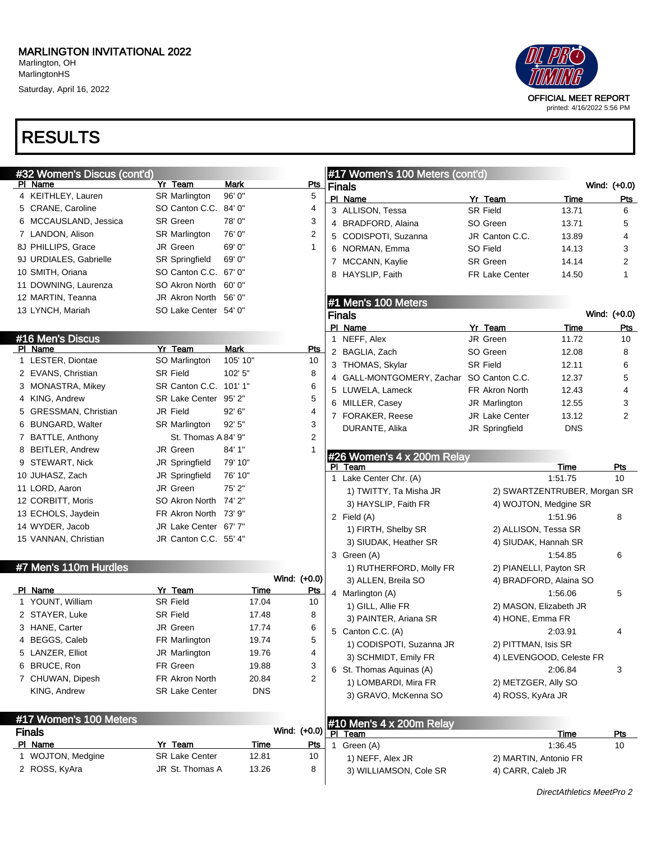#### MARLINGTON INVITATIONAL 2022

Marlington, OH MarlingtonHS

Saturday, April 16, 2022

# RESULTS

| #32 Women's Discus (cont'd) |                        |             |              |   | #17 Women's 100 Meters (cont'd)          |                              |                          |                |
|-----------------------------|------------------------|-------------|--------------|---|------------------------------------------|------------------------------|--------------------------|----------------|
| PI Name                     | Yr Team                | <b>Mark</b> | <u>Pts</u>   |   | <b>Finals</b>                            |                              |                          | Wind: (+0.0)   |
| 4 KEITHLEY, Lauren          | <b>SR Marlington</b>   | 96' 0"      | 5            |   | PI Name                                  | Yr Team                      | Time                     | Pts            |
| 5 CRANE, Caroline           | SO Canton C.C. 84' 0"  |             | 4            |   | 3 ALLISON, Tessa                         | <b>SR Field</b>              | 13.71                    | 6              |
| 6 MCCAUSLAND, Jessica       | <b>SR</b> Green        | 78'0"       | 3            |   | 4 BRADFORD, Alaina                       | SO Green                     | 13.71                    | 5              |
| 7 LANDON, Alison            | <b>SR Marlington</b>   | 76'0"       | 2            |   | 5 CODISPOTI, Suzanna                     | JR Canton C.C.               | 13.89                    | 4              |
| 8J PHILLIPS, Grace          | JR Green               | 69' 0"      | 1            |   | 6 NORMAN, Emma                           | SO Field                     | 14.13                    | 3              |
| 9J URDIALES, Gabrielle      | <b>SR Springfield</b>  | 69' 0"      |              |   | 7 MCCANN, Kaylie                         | <b>SR</b> Green              | 14.14                    | $\overline{2}$ |
| 10 SMITH, Oriana            | SO Canton C.C. 67' 0"  |             |              |   | 8 HAYSLIP, Faith                         | <b>FR Lake Center</b>        | 14.50                    | $\mathbf 1$    |
| 11 DOWNING, Laurenza        | SO Akron North 60' 0"  |             |              |   |                                          |                              |                          |                |
| 12 MARTIN, Teanna           | JR Akron North         | 56' 0"      |              |   | #1 Men's 100 Meters                      |                              |                          |                |
| 13 LYNCH, Mariah            | SO Lake Center 54' 0"  |             |              |   | <b>Finals</b>                            |                              |                          | Wind: (+0.0)   |
|                             |                        |             |              |   | PI Name                                  | Yr Team                      | Time                     | <b>Pts</b>     |
| #16 Men's Discus            |                        |             |              |   | 1 NEFF, Alex                             | JR Green                     | 11.72                    | 10             |
| PI Name                     | Yr Team                | <b>Mark</b> | <b>Pts</b>   |   | 2 BAGLIA, Zach                           | SO Green                     | 12.08                    | 8              |
| 1 LESTER, Diontae           | SO Marlington          | 105' 10"    | 10           |   | 3 THOMAS, Skylar                         | <b>SR Field</b>              | 12.11                    | 6              |
| 2 EVANS, Christian          | <b>SR Field</b>        | 102' 5"     | 8            |   | 4 GALL-MONTGOMERY, Zachar SO Canton C.C. |                              | 12.37                    | 5              |
| 3 MONASTRA, Mikey           | SR Canton C.C. 101' 1" |             | 6            |   | 5 LUWELA, Lameck                         | <b>FR Akron North</b>        | 12.43                    | 4              |
| 4 KING, Andrew              | SR Lake Center 95' 2"  |             | 5            |   | 6 MILLER, Casey                          | JR Marlington                | 12.55                    | 3              |
| 5 GRESSMAN, Christian       | JR Field               | 92' 6"      | 4            |   | 7 FORAKER, Reese                         | <b>JR Lake Center</b>        | 13.12                    | 2              |
| 6 BUNGARD, Walter           | <b>SR Marlington</b>   | 92' 5"      | 3            |   | DURANTE, Alika                           | JR Springfield               | <b>DNS</b>               |                |
| 7 BATTLE, Anthony           | St. Thomas A 84' 9"    |             | 2            |   |                                          |                              |                          |                |
| 8 BEITLER, Andrew           | JR Green               | 84' 1"      | 1            |   | #26 Women's 4 x 200m Relay               |                              |                          |                |
| 9 STEWART, Nick             | JR Springfield         | 79' 10"     |              |   | PI Team                                  |                              | Time                     | Pts            |
| 10 JUHASZ, Zach             | JR Springfield         | 76' 10"     |              |   | 1 Lake Center Chr. (A)                   |                              | 1:51.75                  | 10             |
| 11 LORD, Aaron              | JR Green               | 75' 2"      |              |   | 1) TWITTY, Ta Misha JR                   | 2) SWARTZENTRUBER, Morgan SR |                          |                |
| 12 CORBITT, Moris           | SO Akron North 74' 2"  |             |              |   | 3) HAYSLIP, Faith FR                     | 4) WOJTON, Medgine SR        |                          |                |
| 13 ECHOLS, Jaydein          | FR Akron North 73' 9"  |             |              |   | 2 Field (A)                              |                              | 1:51.96                  | 8              |
| 14 WYDER, Jacob             | JR Lake Center 67' 7"  |             |              |   | 1) FIRTH, Shelby SR                      | 2) ALLISON, Tessa SR         |                          |                |
| 15 VANNAN, Christian        | JR Canton C.C. 55' 4"  |             |              |   | 3) SIUDAK, Heather SR                    | 4) SIUDAK, Hannah SR         |                          |                |
|                             |                        |             |              |   | 3 Green (A)                              |                              | 1:54.85                  | 6              |
| #7 Men's 110m Hurdles       |                        |             |              |   | 1) RUTHERFORD, Molly FR                  | 2) PIANELLI, Payton SR       |                          |                |
|                             |                        |             | Wind: (+0.0) |   | 3) ALLEN, Breila SO                      | 4) BRADFORD, Alaina SO       |                          |                |
| PI Name                     | Yr Team                | Time        | <u>Pts</u>   |   | 4 Marlington (A)                         |                              | 1:56.06                  | 5              |
| 1 YOUNT, William            | <b>SR Field</b>        | 17.04       | 10           |   | 1) GILL, Allie FR                        | 2) MASON, Elizabeth JR       |                          |                |
| 2 STAYER, Luke              | <b>SR Field</b>        | 17.48       | 8            |   | 3) PAINTER, Ariana SR                    | 4) HONE, Emma FR             |                          |                |
| 3 HANE, Carter              | JR Green               | 17.74       | 6            |   | 5 Canton C.C. (A)                        |                              | 2:03.91                  | 4              |
| 4 BEGGS, Caleb              | FR Marlington          | 19.74       | 5            |   | 1) CODISPOTI, Suzanna JR                 | 2) PITTMAN, Isis SR          |                          |                |
| 5 LANZER, Elliot            | JR Marlington          | 19.76       | 4            |   | 3) SCHMIDT, Emily FR                     |                              | 4) LEVENGOOD, Celeste FR |                |
| 6 BRUCE, Ron                | FR Green               | 19.88       | 3            |   | 6 St. Thomas Aquinas (A)                 |                              | 2:06.84                  | 3              |
| 7 CHUWAN, Dipesh            | FR Akron North         | 20.84       | 2            |   | 1) LOMBARDI, Mira FR                     | 2) METZGER, Ally SO          |                          |                |
| KING, Andrew                | <b>SR Lake Center</b>  | <b>DNS</b>  |              |   | 3) GRAVO, McKenna SO                     | 4) ROSS, KyAra JR            |                          |                |
|                             |                        |             |              |   |                                          |                              |                          |                |
| #17 Women's 100 Meters      |                        |             |              |   | #10 Men's 4 x 200m Relay                 |                              |                          |                |
| <b>Finals</b>               |                        |             | Wind: (+0.0) |   | PI Team                                  |                              | Time                     | Pts            |
| PI Name                     | Yr Team                | <u>Time</u> | <b>Pts</b>   | 1 | Green (A)                                |                              | 1:36.45                  | 10             |
| 1 WOJTON, Medgine           | <b>SR Lake Center</b>  | 12.81       | 10           |   | 1) NEFF, Alex JR                         | 2) MARTIN, Antonio FR        |                          |                |
| 2 ROSS, KyAra               | JR St. Thomas A        | 13.26       | 8            |   | 3) WILLIAMSON, Cole SR                   | 4) CARR, Caleb JR            |                          |                |
|                             |                        |             |              |   |                                          |                              |                          |                |



DirectAthletics MeetPro 2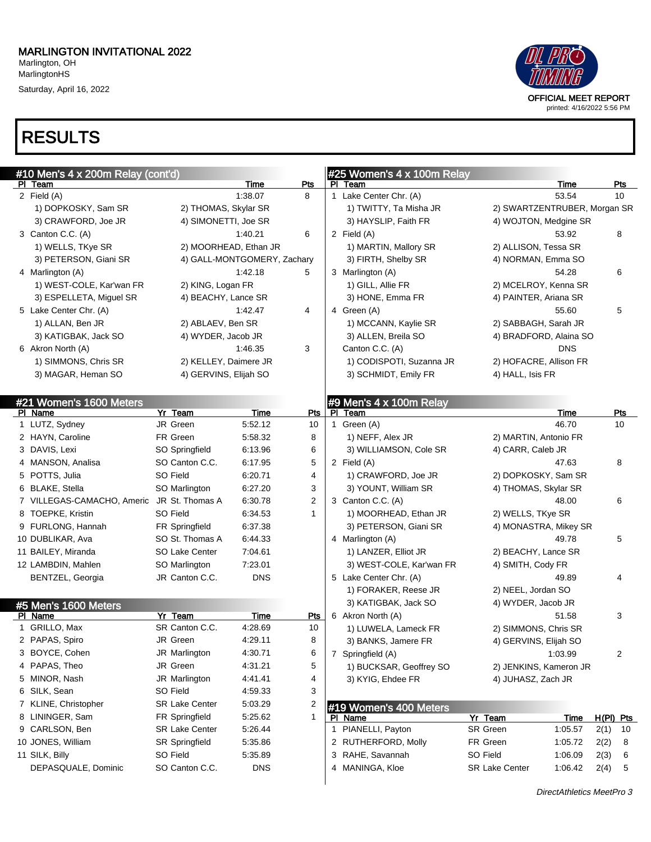MarlingtonHS

Saturday, April 16, 2022



| #10 Men's 4 x 200m Relay (cont'd)          |                       |                             |            | #25 Women's 4 x 100m Relay        |                              |             |                |
|--------------------------------------------|-----------------------|-----------------------------|------------|-----------------------------------|------------------------------|-------------|----------------|
| PI Team                                    |                       | Time                        | Pts        | PI Team                           |                              | <b>Time</b> | <u>Pts</u>     |
| 2 Field (A)                                |                       | 1:38.07                     | 8          | 1 Lake Center Chr. (A)            |                              | 53.54       | 10             |
| 1) DOPKOSKY, Sam SR                        | 2) THOMAS, Skylar SR  |                             |            | 1) TWITTY, Ta Misha JR            | 2) SWARTZENTRUBER, Morgan SR |             |                |
| 3) CRAWFORD, Joe JR                        | 4) SIMONETTI, Joe SR  |                             |            | 3) HAYSLIP, Faith FR              | 4) WOJTON, Medgine SR        |             |                |
| 3 Canton C.C. (A)                          |                       | 1:40.21                     | 6          | 2 Field (A)                       |                              | 53.92       | 8              |
| 1) WELLS, TKye SR                          | 2) MOORHEAD, Ethan JR |                             |            | 1) MARTIN, Mallory SR             | 2) ALLISON, Tessa SR         |             |                |
| 3) PETERSON, Giani SR                      |                       | 4) GALL-MONTGOMERY, Zachary |            | 3) FIRTH, Shelby SR               | 4) NORMAN, Emma SO           |             |                |
| 4 Marlington (A)                           |                       | 1:42.18                     | 5          | 3 Marlington (A)                  |                              | 54.28       | 6              |
| 1) WEST-COLE, Kar'wan FR                   | 2) KING, Logan FR     |                             |            | 1) GILL, Allie FR                 | 2) MCELROY, Kenna SR         |             |                |
| 3) ESPELLETA, Miguel SR                    | 4) BEACHY, Lance SR   |                             |            | 3) HONE, Emma FR                  | 4) PAINTER, Ariana SR        |             |                |
| 5 Lake Center Chr. (A)                     |                       | 1:42.47                     | 4          | 4 Green (A)                       |                              | 55.60       | 5              |
| 1) ALLAN, Ben JR                           | 2) ABLAEV, Ben SR     |                             |            | 1) MCCANN, Kaylie SR              | 2) SABBAGH, Sarah JR         |             |                |
| 3) KATIGBAK, Jack SO                       | 4) WYDER, Jacob JR    |                             |            | 3) ALLEN, Breila SO               | 4) BRADFORD, Alaina SO       |             |                |
| 6 Akron North (A)                          |                       | 1:46.35                     | 3          | Canton C.C. (A)                   |                              | <b>DNS</b>  |                |
| 1) SIMMONS, Chris SR                       | 2) KELLEY, Daimere JR |                             |            | 1) CODISPOTI, Suzanna JR          | 2) HOFACRE, Allison FR       |             |                |
| 3) MAGAR, Heman SO                         | 4) GERVINS, Elijah SO |                             |            | 3) SCHMIDT, Emily FR              | 4) HALL, Isis FR             |             |                |
|                                            |                       |                             |            |                                   |                              |             |                |
| #21 Women's 1600 Meters                    |                       |                             |            | #9 Men's 4 x 100m Relay           |                              |             |                |
| PI Name                                    | Yr Team               | <b>Time</b>                 | Pts        | PI Team                           |                              | Time        | <u>Pts</u>     |
| 1 LUTZ, Sydney                             | JR Green              | 5:52.12                     | 10         | 1 Green (A)                       |                              | 46.70       | 10             |
| 2 HAYN, Caroline                           | FR Green              | 5:58.32                     | 8          | 1) NEFF, Alex JR                  | 2) MARTIN, Antonio FR        |             |                |
| 3 DAVIS, Lexi                              | SO Springfield        | 6:13.96                     | 6          | 3) WILLIAMSON, Cole SR            | 4) CARR, Caleb JR            |             |                |
| 4 MANSON, Analisa                          | SO Canton C.C.        | 6:17.95                     | 5          | 2 Field (A)                       |                              | 47.63       | 8              |
| 5 POTTS, Julia                             | SO Field              | 6:20.71                     | 4          | 1) CRAWFORD, Joe JR               | 2) DOPKOSKY, Sam SR          |             |                |
| 6 BLAKE, Stella                            | SO Marlington         | 6:27.20                     | 3          | 3) YOUNT, William SR              | 4) THOMAS, Skylar SR         |             |                |
| 7 VILLEGAS-CAMACHO, Americ JR St. Thomas A |                       | 6:30.78                     | 2          | 3 Canton C.C. (A)                 |                              | 48.00       | 6              |
| 8 TOEPKE, Kristin                          | SO Field              | 6:34.53                     | 1          | 1) MOORHEAD, Ethan JR             | 2) WELLS, TKye SR            |             |                |
| 9 FURLONG, Hannah                          | <b>FR Springfield</b> | 6:37.38                     |            | 3) PETERSON, Giani SR             | 4) MONASTRA, Mikey SR        |             |                |
| 10 DUBLIKAR, Ava                           | SO St. Thomas A       | 6:44.33                     |            | 4 Marlington (A)                  |                              | 49.78       | 5              |
| 11 BAILEY, Miranda                         | SO Lake Center        | 7:04.61                     |            | 1) LANZER, Elliot JR              | 2) BEACHY, Lance SR          |             |                |
| 12 LAMBDIN, Mahlen                         | SO Marlington         | 7:23.01                     |            | 3) WEST-COLE, Kar'wan FR          | 4) SMITH, Cody FR            |             |                |
| BENTZEL, Georgia                           | JR Canton C.C.        | <b>DNS</b>                  |            | 5 Lake Center Chr. (A)            |                              | 49.89       | 4              |
|                                            |                       |                             |            | 1) FORAKER, Reese JR              | 2) NEEL, Jordan SO           |             |                |
| #5 Men's 1600 Meters                       |                       |                             |            | 3) KATIGBAK, Jack SO              | 4) WYDER, Jacob JR           |             |                |
| PI Name                                    | Yr Team               | Time                        | <u>Pts</u> | 6 Akron North (A)                 |                              | 51.58       | 3              |
| 1 GRILLO, Max                              | SR Canton C.C.        | 4:28.69                     | 10         | 1) LUWELA, Lameck FR              | 2) SIMMONS, Chris SR         |             |                |
| 2 PAPAS, Spiro                             | JR Green              | 4:29.11                     | 8          | 3) BANKS, Jamere FR               | 4) GERVINS, Elijah SO        |             |                |
| 3 BOYCE, Cohen                             | JR Marlington         | 4:30.71                     | 6          | 7 Springfield (A)                 |                              | 1:03.99     | $\overline{c}$ |
| 4 PAPAS, Theo                              | JR Green              | 4:31.21                     | 5          | 1) BUCKSAR, Geoffrey SO           | 2) JENKINS, Kameron JR       |             |                |
| 5 MINOR, Nash                              | JR Marlington         | 4:41.41                     | 4          | 3) KYIG, Ehdee FR                 | 4) JUHASZ, Zach JR           |             |                |
| 6 SILK, Sean                               | SO Field              | 4:59.33                     | 3          |                                   |                              |             |                |
| 7 KLINE, Christopher                       | <b>SR Lake Center</b> | 5:03.29                     | 2          |                                   |                              |             |                |
| 8 LININGER, Sam                            | <b>FR Springfield</b> | 5:25.62                     | 1          | #19 Women's 400 Meters<br>PI Name | Yr Team                      | Time        | $H(PI)$ Pts    |
| 9 CARLSON, Ben                             | <b>SR Lake Center</b> | 5:26.44                     |            | 1 PIANELLI, Payton                | SR Green                     | 1:05.57     | 2(1)<br>- 10   |
| 10 JONES, William                          | <b>SR Springfield</b> | 5:35.86                     |            | 2 RUTHERFORD, Molly               | FR Green                     | 1:05.72     | 2(2)<br>8      |
| 11 SILK, Billy                             | SO Field              | 5:35.89                     |            | 3 RAHE, Savannah                  | SO Field                     | 1:06.09     | 2(3)<br>6      |
| DEPASQUALE, Dominic                        | SO Canton C.C.        | <b>DNS</b>                  |            | 4 MANINGA, Kloe                   | <b>SR Lake Center</b>        | 1:06.42     | 2(4)<br>5      |
|                                            |                       |                             |            |                                   |                              |             |                |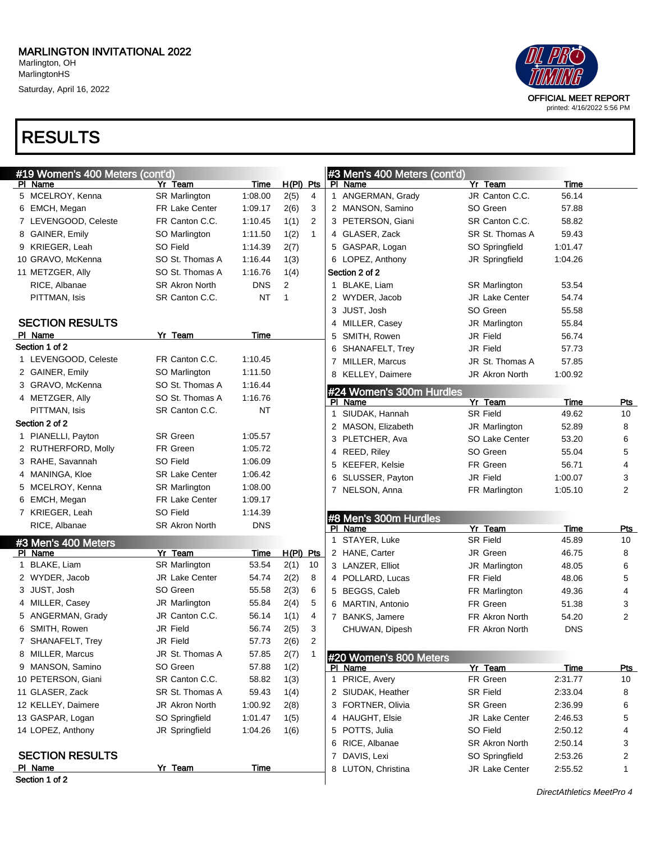### MARLINGTON INVITATIONAL 2022

Marlington, OH MarlingtonHS

Saturday, April 16, 2022

# RESULTS

5 MCELROY, Kenna 6 EMCH, Megan 7 LEVENGOOD, Celeste 8 GAINER, Emily 9 KRIEGER, Leah 10 GRAVO, McKenna 11 METZGER, Ally RICE, Albanae PITTMAN, Isis

SECTION RESULTS

1 LEVENGOOD, Celeste 2 GAINER, Emily 3 GRAVO, McKenna 4 METZGER, Ally PITTMAN, Isis Section 2 of 2

1 PIANELLI, Payton 2 RUTHERFORD, Molly 3 RAHE, Savannah 4 MANINGA, Kloe 5 MCELROY, Kenna 6 EMCH, Megan 7 KRIEGER, Leah RICE, Albanae #3 Men's 400 Meters

Pl Name

PI Name Section 1 of 2

Pl Name 1 BLAKE, Liam 2 WYDER, Jacob 3 JUST, Josh 4 MILLER, Casey 5 ANGERMAN, Grady 6 SMITH, Rowen 7 SHANAFELT, Trey 8 MILLER, Marcus 9 MANSON, Samino 10 PETERSON, Giani 11 GLASER, Zack 12 KELLEY, Daimere 13 GASPAR, Logan 14 LOPEZ, Anthony

#19 Women's 400 Meters (

| cont'd)                                       |             |              |            | #3 Men's 400 Meters (cont'd)      |                           |               |     |
|-----------------------------------------------|-------------|--------------|------------|-----------------------------------|---------------------------|---------------|-----|
| Yr Team                                       | Time        | <u>H(PI)</u> | Pts        | PI Name                           | Yr Team<br>JR Canton C.C. | Time<br>56.14 |     |
| <b>SR Marlington</b><br><b>FR Lake Center</b> | 1:08.00     | 2(5)         | 4          | 1 ANGERMAN, Grady                 |                           |               |     |
|                                               | 1:09.17     | 2(6)         | 3          | 2 MANSON, Samino                  | SO Green                  | 57.88         |     |
| FR Canton C.C.                                | 1:10.45     | 1(1)         | 2          | PETERSON, Giani<br>3              | SR Canton C.C.            | 58.82         |     |
| SO Marlington                                 | 1:11.50     | 1(2)         | 1          | GLASER, Zack<br>4                 | SR St. Thomas A           | 59.43         |     |
| SO Field                                      | 1:14.39     | 2(7)         |            | GASPAR, Logan                     | SO Springfield            | 1:01.47       |     |
| SO St. Thomas A                               | 1:16.44     | 1(3)         |            | LOPEZ, Anthony<br>6               | JR Springfield            | 1:04.26       |     |
| SO St. Thomas A                               | 1:16.76     | 1(4)         |            | Section 2 of 2                    |                           |               |     |
| <b>SR Akron North</b>                         | <b>DNS</b>  | 2            |            | 1 BLAKE, Liam                     | <b>SR Marlington</b>      | 53.54         |     |
| SR Canton C.C.                                | NT          | 1            |            | WYDER, Jacob                      | JR Lake Center            | 54.74         |     |
|                                               |             |              |            | JUST, Josh<br>3                   | SO Green                  | 55.58         |     |
|                                               |             |              |            | MILLER, Casey<br>4                | JR Marlington             | 55.84         |     |
| Yr Team                                       | Time        |              |            | SMITH, Rowen                      | JR Field                  | 56.74         |     |
|                                               |             |              |            | SHANAFELT, Trey<br>6              | JR Field                  | 57.73         |     |
| FR Canton C.C.                                | 1:10.45     |              |            | MILLER, Marcus<br>7               | JR St. Thomas A           | 57.85         |     |
| SO Marlington                                 | 1:11.50     |              |            | <b>KELLEY, Daimere</b><br>8       | JR Akron North            | 1:00.92       |     |
| SO St. Thomas A                               | 1.16.44     |              |            | #24 Women's 300m Hurdles          |                           |               |     |
| SO St. Thomas A                               | 1:16.76     |              |            | PI Name                           | Yr Team                   | Time          | Pts |
| SR Canton C.C.                                | <b>NT</b>   |              |            | 1 SIUDAK, Hannah                  | <b>SR Field</b>           | 49.62         | 10  |
|                                               |             |              |            | MASON, Elizabeth                  | JR Marlington             | 52.89         | 8   |
| <b>SR Green</b>                               | 1:05.57     |              |            | PLETCHER, Ava                     | SO Lake Center            | 53.20         | 6   |
| FR Green                                      | 1:05.72     |              |            | REED, Riley<br>4                  | SO Green                  | 55.04         | 5   |
| SO Field                                      | 1:06.09     |              |            | KEEFER, Kelsie<br>5               | FR Green                  | 56.71         | 4   |
| <b>SR Lake Center</b>                         | 1:06.42     |              |            | SLUSSER, Payton<br>6              | JR Field                  | 1:00.07       | 3   |
| <b>SR Marlington</b>                          | 1:08.00     |              |            | 7 NELSON, Anna                    | FR Marlington             | 1:05.10       | 2   |
| <b>FR Lake Center</b>                         | 1:09.17     |              |            |                                   |                           |               |     |
| SO Field                                      | 1:14.39     |              |            | #8 Men's 300m Hurdles             |                           |               |     |
| <b>SR Akron North</b>                         | <b>DNS</b>  |              |            | PI Name                           | Yr Team                   | Time          | Pts |
|                                               |             |              |            | 1 STAYER, Luke                    | <b>SR Field</b>           | 45.89         | 10  |
| Yr Team                                       | Time        | H(PI)        | <b>Pts</b> | 2 HANE, Carter                    | JR Green                  | 46.75         | 8   |
| <b>SR Marlington</b>                          | 53.54       | 2(1)         | 10         | 3 LANZER, Elliot                  | JR Marlington             | 48.05         | 6   |
| <b>JR Lake Center</b>                         | 54.74       | 2(2)         | 8          | POLLARD, Lucas<br>4               | FR Field                  | 48.06         | 5   |
| SO Green                                      | 55.58       | 2(3)         | 6          | BEGGS, Caleb                      | FR Marlington             | 49.36         | 4   |
| JR Marlington                                 | 55.84       | 2(4)         | 5          | MARTIN, Antonio<br>6              | FR Green                  | 51.38         | 3   |
| JR Canton C.C.                                | 56.14       | 1(1)         | 4          | 7 BANKS, Jamere                   | FR Akron North            | 54.20         | 2   |
| JR Field                                      | 56.74       | 2(5)         | 3          | CHUWAN, Dipesh                    | FR Akron North            | <b>DNS</b>    |     |
| JR Field                                      | 57.73       | 2(6)         | 2          |                                   |                           |               |     |
| JR St. Thomas A                               | 57.85       | 2(7)         | 1          |                                   |                           |               |     |
| SO Green                                      | 57.88       | 1(2)         |            | #20 Women's 800 Meters<br>PI Name | Yr Team                   | Time          | Pts |
| SR Canton C.C.                                | 58.82       | 1(3)         |            | PRICE, Avery<br>1                 | FR Green                  | 2:31.77       | 10  |
| SR St. Thomas A                               | 59.43       | 1(4)         |            | SIUDAK, Heather<br>2              | <b>SR Field</b>           | 2:33.04       | 8   |
| JR Akron North                                | 1:00.92     | 2(8)         |            | FORTNER, Olivia<br>3              | SR Green                  | 2:36.99       | 6   |
| SO Springfield                                | 1:01.47     | 1(5)         |            | HAUGHT, Elsie<br>4                | JR Lake Center            | 2:46.53       | 5   |
| JR Springfield                                | 1:04.26     | 1(6)         |            | POTTS, Julia<br>5                 | SO Field                  | 2:50.12       | 4   |
|                                               |             |              |            | RICE, Albanae<br>6                | SR Akron North            | 2:50.14       | 3   |
|                                               |             |              |            | DAVIS, Lexi<br>7                  |                           |               | 2   |
| Yr Team                                       | <b>Time</b> |              |            |                                   | SO Springfield            | 2:53.26       |     |
|                                               |             |              |            | LUTON, Christina<br>8             | JR Lake Center            | 2:55.52       | 1   |



Pl Name Section 1 of 2

SECTION RESULTS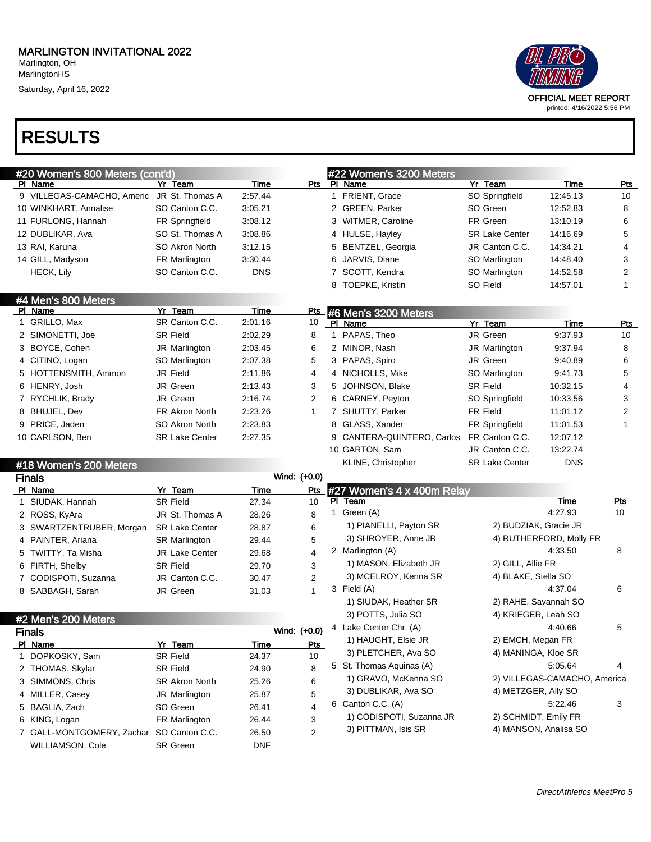#### MARLINGTON INVITATIONAL 2022

Marlington, OH MarlingtonHS

Saturday, April 16, 2022



printed: 4/16/2022 5:56 PM

| #20 Women's 800 Meters (cont'd)            |                       |             |                | #22 Women's 3200 Meters    |                       |                              |            |
|--------------------------------------------|-----------------------|-------------|----------------|----------------------------|-----------------------|------------------------------|------------|
| PI Name                                    | Yr Team               | Time        | Pts I          | PI Name                    | Yr Team               | <b>Time</b>                  | <u>Pts</u> |
| 9 VILLEGAS-CAMACHO, Americ JR St. Thomas A |                       | 2:57.44     |                | 1 FRIENT, Grace            | SO Springfield        | 12:45.13                     | 10         |
| 10 WINKHART, Annalise                      | SO Canton C.C.        | 3:05.21     |                | 2 GREEN, Parker            | SO Green              | 12:52.83                     | 8          |
| 11 FURLONG, Hannah                         | FR Springfield        | 3:08.12     |                | 3 WITMER, Caroline         | FR Green              | 13:10.19                     | 6          |
| 12 DUBLIKAR, Ava                           | SO St. Thomas A       | 3:08.86     |                | 4 HULSE, Hayley            | <b>SR Lake Center</b> | 14:16.69                     | 5          |
| 13 RAI, Karuna                             | SO Akron North        | 3:12.15     |                | BENTZEL, Georgia<br>5      | JR Canton C.C.        | 14:34.21                     | 4          |
| 14 GILL, Madyson                           | FR Marlington         | 3:30.44     |                | JARVIS, Diane<br>6         | SO Marlington         | 14:48.40                     | 3          |
| HECK, Lily                                 | SO Canton C.C.        | <b>DNS</b>  |                | 7 SCOTT, Kendra            | SO Marlington         | 14:52.58                     | 2          |
|                                            |                       |             |                | 8 TOEPKE, Kristin          | SO Field              | 14:57.01                     | 1          |
| #4 Men's 800 Meters                        |                       |             |                |                            |                       |                              |            |
| PI Name                                    | Yr Team               | <b>Time</b> | <b>Pts</b>     | #6 Men's 3200 Meters       |                       |                              |            |
| 1 GRILLO, Max                              | SR Canton C.C.        | 2:01.16     | 10             | PI Name                    | Yr Team               | <b>Time</b>                  | Pts        |
| 2 SIMONETTI, Joe                           | <b>SR Field</b>       | 2:02.29     | 8              | 1 PAPAS, Theo              | JR Green              | 9:37.93                      | 10         |
| 3 BOYCE, Cohen                             | JR Marlington         | 2:03.45     | 6              | 2 MINOR, Nash              | JR Marlington         | 9:37.94                      | 8          |
| 4 CITINO, Logan                            | SO Marlington         | 2:07.38     | 5              | 3 PAPAS, Spiro             | JR Green              | 9:40.89                      | 6          |
| 5 HOTTENSMITH, Ammon                       | JR Field              | 2:11.86     | 4              | 4 NICHOLLS, Mike           | SO Marlington         | 9:41.73                      | 5          |
| 6 HENRY, Josh                              | JR Green              | 2:13.43     | 3              | JOHNSON, Blake<br>5        | <b>SR Field</b>       | 10:32.15                     | 4          |
| 7 RYCHLIK, Brady                           | JR Green              | 2:16.74     | $\overline{2}$ | 6 CARNEY, Peyton           | SO Springfield        | 10:33.56                     | 3          |
| 8 BHUJEL, Dev                              | <b>FR Akron North</b> | 2:23.26     | $\mathbf{1}$   | 7 SHUTTY, Parker           | FR Field              | 11:01.12                     | 2          |
| 9 PRICE, Jaden                             | SO Akron North        | 2:23.83     |                | 8 GLASS, Xander            | FR Springfield        | 11:01.53                     | 1          |
| 10 CARLSON, Ben                            | <b>SR Lake Center</b> | 2:27.35     |                | 9 CANTERA-QUINTERO, Carlos | FR Canton C.C.        | 12:07.12                     |            |
|                                            |                       |             |                | 10 GARTON, Sam             | JR Canton C.C.        | 13:22.74                     |            |
| #18 Women's 200 Meters                     |                       |             |                | KLINE, Christopher         | <b>SR Lake Center</b> | <b>DNS</b>                   |            |
|                                            |                       |             |                |                            |                       |                              |            |
| <b>Finals</b>                              |                       |             | Wind: (+0.0)   |                            |                       |                              |            |
| PI Name                                    | Yr Team               | Time        | <u>Pts</u>     | #27 Women's 4 x 400m Relay |                       |                              |            |
| 1 SIUDAK, Hannah                           | <b>SR Field</b>       | 27.34       | 10             | PI Team                    |                       | Time                         | Pts        |
| 2 ROSS, KyAra                              | JR St. Thomas A       | 28.26       | 8              | 1 Green (A)                |                       | 4:27.93                      | 10         |
| 3 SWARTZENTRUBER, Morgan                   | <b>SR Lake Center</b> | 28.87       | 6              | 1) PIANELLI, Payton SR     | 2) BUDZIAK, Gracie JR |                              |            |
| 4 PAINTER, Ariana                          | <b>SR Marlington</b>  | 29.44       | 5              | 3) SHROYER, Anne JR        |                       | 4) RUTHERFORD, Molly FR      |            |
| 5 TWITTY, Ta Misha                         | JR Lake Center        | 29.68       | 4              | 2 Marlington (A)           |                       | 4:33.50                      | 8          |
| 6 FIRTH, Shelby                            | <b>SR Field</b>       | 29.70       | 3              | 1) MASON, Elizabeth JR     | 2) GILL, Allie FR     |                              |            |
| 7 CODISPOTI, Suzanna                       | JR Canton C.C.        | 30.47       | 2              | 3) MCELROY, Kenna SR       | 4) BLAKE, Stella SO   |                              |            |
| 8 SABBAGH, Sarah                           | JR Green              | 31.03       | $\mathbf{1}$   | 3 Field (A)                |                       | 4:37.04                      | 6          |
|                                            |                       |             |                | 1) SIUDAK, Heather SR      | 2) RAHE, Savannah SO  |                              |            |
| #2 Men's 200 Meters                        |                       |             |                | 3) POTTS, Julia SO         | 4) KRIEGER, Leah SO   |                              |            |
| <b>Finals</b>                              |                       |             | Wind: (+0.0)   | 4 Lake Center Chr. (A)     |                       | 4:40.66                      | 5          |
| PI Name                                    | Yr Team               | Time        | <u>Pts</u>     | 1) HAUGHT, Elsie JR        | 2) EMCH, Megan FR     |                              |            |
| 1 DOPKOSKY, Sam                            | <b>SR Field</b>       | 24.37       | 10             | 3) PLETCHER, Ava SO        | 4) MANINGA, Kloe SR   |                              |            |
| 2 THOMAS, Skylar                           | <b>SR Field</b>       | 24.90       | 8              | 5 St. Thomas Aquinas (A)   |                       | 5:05.64                      | 4          |
| 3 SIMMONS, Chris                           | <b>SR Akron North</b> | 25.26       | 6              | 1) GRAVO, McKenna SO       |                       | 2) VILLEGAS-CAMACHO, America |            |
| 4 MILLER, Casey                            | JR Marlington         | 25.87       | 5              | 3) DUBLIKAR, Ava SO        | 4) METZGER, Ally SO   |                              |            |
| 5 BAGLIA, Zach                             | SO Green              | 26.41       | 4              | 6 Canton C.C. (A)          |                       | 5:22.46                      | 3          |
| 6 KING, Logan                              | FR Marlington         | 26.44       | 3              | 1) CODISPOTI, Suzanna JR   | 2) SCHMIDT, Emily FR  |                              |            |
| 7 GALL-MONTGOMERY, Zachar SO Canton C.C.   |                       | 26.50       | 2              | 3) PITTMAN, Isis SR        |                       | 4) MANSON, Analisa SO        |            |
| WILLIAMSON, Cole                           | SR Green              | <b>DNF</b>  |                |                            |                       |                              |            |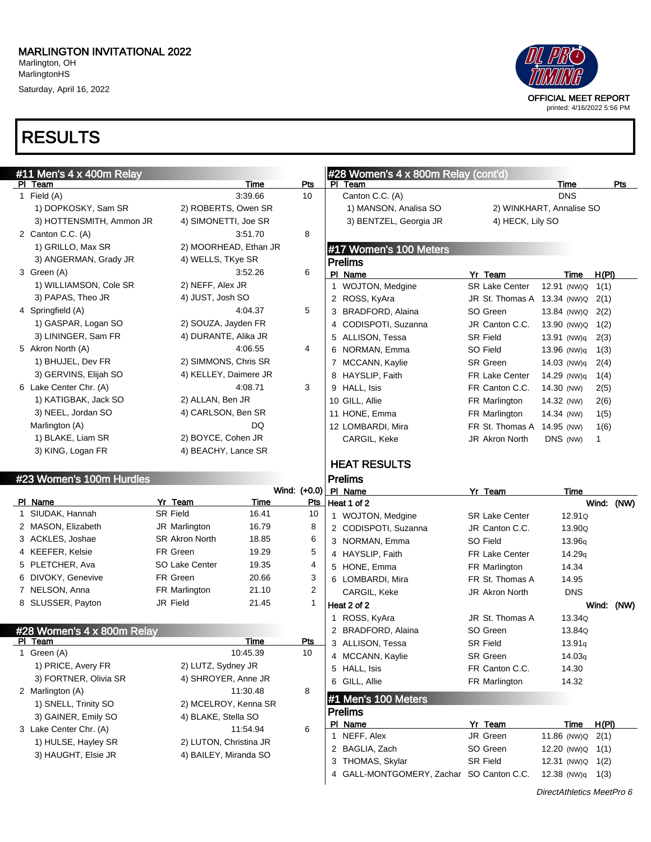Saturday, April 16, 2022



| #11 Men's 4 x 400m Relay<br>PI Team |                        | Time        | <u>Pts</u>     | #28 Women's 4 x 800m Relay (cont'd)<br>PI Team |                             | Time                     | Pts           |
|-------------------------------------|------------------------|-------------|----------------|------------------------------------------------|-----------------------------|--------------------------|---------------|
| 1 Field (A)                         |                        | 3:39.66     | 10             | Canton C.C. (A)                                |                             | <b>DNS</b>               |               |
| 1) DOPKOSKY, Sam SR                 | 2) ROBERTS, Owen SR    |             |                | 1) MANSON, Analisa SO                          |                             | 2) WINKHART, Annalise SO |               |
| 3) HOTTENSMITH, Ammon JR            | 4) SIMONETTI, Joe SR   |             |                | 3) BENTZEL, Georgia JR                         | 4) HECK, Lily SO            |                          |               |
| 2 Canton C.C. (A)                   |                        | 3:51.70     | 8              |                                                |                             |                          |               |
| 1) GRILLO, Max SR                   | 2) MOORHEAD, Ethan JR  |             |                | #17 Women's 100 Meters                         |                             |                          |               |
| 3) ANGERMAN, Grady JR               | 4) WELLS, TKye SR      |             |                | <b>Prelims</b>                                 |                             |                          |               |
| 3 Green (A)                         |                        | 3:52.26     | 6              | PI Name                                        | Yr Team                     | <b>Time</b>              | H(PI)         |
| 1) WILLIAMSON, Cole SR              | 2) NEFF, Alex JR       |             |                | WOJTON, Medgine<br>$\mathbf{1}$                | <b>SR Lake Center</b>       | 12.91 (NW)Q              | 1(1)          |
| 3) PAPAS, Theo JR                   | 4) JUST, Josh SO       |             |                | 2 ROSS, KyAra                                  | JR St. Thomas A 13.34 (NW)Q |                          | 2(1)          |
| 4 Springfield (A)                   |                        | 4:04.37     | 5              | 3 BRADFORD, Alaina                             | SO Green                    | 13.84 (NW)Q              | 2(2)          |
| 1) GASPAR, Logan SO                 | 2) SOUZA, Jayden FR    |             |                | 4 CODISPOTI, Suzanna                           | JR Canton C.C.              | 13.90 (NW)Q              | 1(2)          |
| 3) LININGER, Sam FR                 | 4) DURANTE, Alika JR   |             |                | 5 ALLISON, Tessa                               | <b>SR Field</b>             | 13.91 (NW)q              | 2(3)          |
| 5 Akron North (A)                   |                        | 4:06.55     | $\overline{4}$ | 6 NORMAN, Emma                                 | SO Field                    | 13.96 (NW)q              | 1(3)          |
| 1) BHUJEL, Dev FR                   | 2) SIMMONS, Chris SR   |             |                | 7 MCCANN, Kaylie                               | SR Green                    | 14.03 (NW)q              | 2(4)          |
| 3) GERVINS, Elijah SO               | 4) KELLEY, Daimere JR  |             |                | 8 HAYSLIP, Faith                               | FR Lake Center              | 14.29 (NW)q              | 1(4)          |
| 6 Lake Center Chr. (A)              |                        | 4:08.71     | 3              | 9 HALL, Isis                                   | FR Canton C.C.              | 14.30 (NW)               | 2(5)          |
| 1) KATIGBAK, Jack SO                | 2) ALLAN, Ben JR       |             |                | 10 GILL, Allie                                 | FR Marlington               | 14.32 (NW)               | 2(6)          |
| 3) NEEL, Jordan SO                  | 4) CARLSON, Ben SR     |             |                | 11 HONE, Emma                                  | FR Marlington               | 14.34 (NW)               | 1(5)          |
| Marlington (A)                      |                        | DQ          |                | 12 LOMBARDI, Mira                              | FR St. Thomas A 14.95 (NW)  |                          | 1(6)          |
| 1) BLAKE, Liam SR                   | 2) BOYCE, Cohen JR     |             |                | CARGIL, Keke                                   | <b>JR Akron North</b>       | DNS (NW)                 | 1             |
| 3) KING, Logan FR                   | 4) BEACHY, Lance SR    |             |                |                                                |                             |                          |               |
|                                     |                        |             |                | <b>HEAT RESULTS</b>                            |                             |                          |               |
| #23 Women's 100m Hurdles            |                        |             |                | <b>Prelims</b>                                 |                             |                          |               |
|                                     |                        |             | Wind: (+0.0)   | PI Name                                        | Yr Team                     | Time                     |               |
|                                     |                        |             |                |                                                |                             |                          |               |
| PI Name                             | Yr Team                | Time        | <b>Pts</b>     | Heat 1 of 2                                    |                             |                          | Wind: (NW)    |
| 1 SIUDAK, Hannah                    | <b>SR Field</b>        | 16.41       | 10             | 1 WOJTON, Medgine                              | <b>SR Lake Center</b>       | 12.91Q                   |               |
| 2 MASON, Elizabeth                  | JR Marlington          | 16.79       | 8              | 2 CODISPOTI, Suzanna                           | JR Canton C.C.              | 13.90Q                   |               |
| 3 ACKLES, Joshae                    | <b>SR Akron North</b>  | 18.85       | 6              | 3 NORMAN, Emma                                 | SO Field                    | 13.96q                   |               |
| 4 KEEFER, Kelsie                    | FR Green               | 19.29       | 5              | 4 HAYSLIP, Faith                               | <b>FR Lake Center</b>       | 14.29q                   |               |
| 5 PLETCHER, Ava                     | <b>SO Lake Center</b>  | 19.35       | 4              | 5 HONE, Emma                                   | FR Marlington               | 14.34                    |               |
| 6 DIVOKY, Genevive                  | FR Green               | 20.66       | 3              | 6 LOMBARDI, Mira                               | FR St. Thomas A             | 14.95                    |               |
| 7 NELSON, Anna                      | FR Marlington          | 21.10       | 2              | CARGIL, Keke                                   | JR Akron North              | <b>DNS</b>               |               |
| 8 SLUSSER, Payton                   | JR Field               | 21.45       | 1              | Heat 2 of 2                                    |                             |                          | Wind:<br>(NW) |
|                                     |                        |             |                | 1 ROSS, KyAra                                  | JR St. Thomas A             | 13.34Q                   |               |
| #28 Women's 4 x 800m Relay          |                        |             |                | 2 BRADFORD, Alaina                             | SO Green                    | 13.84Q                   |               |
| PI Team                             |                        | <u>Time</u> | <u>Pts</u>     | 3 ALLISON, Tessa                               | <b>SR Field</b>             | 13.91q                   |               |
| 1 Green (A)                         |                        | 10:45.39    | 10             | 4 MCCANN, Kaylie                               | SR Green                    | 14.03q                   |               |
| 1) PRICE, Avery FR                  | 2) LUTZ, Sydney JR     |             |                | 5 HALL, Isis                                   | FR Canton C.C.              | 14.30                    |               |
| 3) FORTNER, Olivia SR               | 4) SHROYER, Anne JR    |             |                | 6 GILL, Allie                                  | FR Marlington               | 14.32                    |               |
| 2 Marlington (A)                    |                        | 11:30.48    | 8              |                                                |                             |                          |               |
| 1) SNELL, Trinity SO                | 2) MCELROY, Kenna SR   |             |                | #1 Men's 100 Meters                            |                             |                          |               |
| 3) GAINER, Emily SO                 | 4) BLAKE, Stella SO    |             |                | <b>Prelims</b><br>PI Name                      | Yr Team                     | Time                     |               |
| 3 Lake Center Chr. (A)              |                        | 11:54.94    | 6              | 1 NEFF, Alex                                   | JR Green                    | 11.86 (NW)Q 2(1)         | <u>H(PI)</u>  |
| 1) HULSE, Hayley SR                 | 2) LUTON, Christina JR |             |                | 2 BAGLIA, Zach                                 | SO Green                    | 12.20 (NW) $Q(1)$        |               |
| 3) HAUGHT, Elsie JR                 | 4) BAILEY, Miranda SO  |             |                | 3 THOMAS, Skylar                               | <b>SR Field</b>             | 12.31 (NW)Q 1(2)         |               |
|                                     |                        |             |                | 4 GALL-MONTGOMERY, Zachar SO Canton C.C.       |                             | 12.38 (NW)q              | 1(3)          |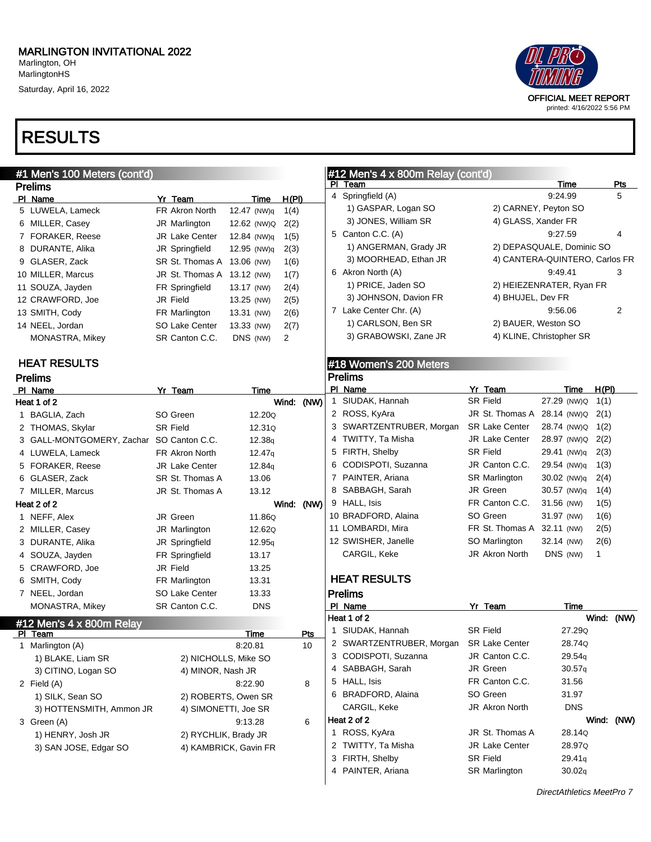Saturday, April 16, 2022

# RESULTS



#### #1 Men's 100 Meters (cont'd) Prelims PI Name **Yr Team Yr Team** Time H(PI) 5 LUWELA, Lameck FR Akron North 12.47 (NW)q 1(4) 6 MILLER, Casey JR Marlington 12.62 (NW)Q 2(2) 7 FORAKER, Reese JR Lake Center 12.84 (NW)q 1(5) 8 DURANTE, Alika JR Springfield 12.95 (NW)q 2(3) 9 GLASER, Zack SR St. Thomas A 13.06 (NW) 1(6) 10 MILLER, Marcus JR St. Thomas A 13.12 (NW) 1(7) 11 SOUZA, Jayden FR Springfield 13.17 (NW) 2(4) 12 CRAWFORD, Joe JR Field 13.25 (NW) 2(5) 13 SMITH, Cody FR Marlington 13.31 (NW) 2(6) 14 NEEL, Jordan SO Lake Center 13.33 (NW) 2(7) MONASTRA, Mikey SR Canton C.C. DNS (NW) 2 HEAT RESULTS Prelims Pl Name Yr Team Time Heat 1 of 2 Wind: (NW) 1 BAGLIA, Zach SO Green 12.20Q 2 THOMAS, Skylar SR Field 12.31Q 3 GALL-MONTGOMERY, Zachar SO Canton C.C. 12.38q 4 LUWELA, Lameck **FR Akron North** 12.47<sub>q</sub> 5 FORAKER, Reese **JR Lake Center** 12.84<sub>a</sub> 6 GLASER, Zack SR St. Thomas A 13.06 7 MILLER, Marcus **JR St. Thomas A** 13.12 Heat 2 of 2 Wind: (NW) 1 NEFF, Alex JR Green 11.86Q 2 MILLER, Casey JR Marlington 12.62Q 3 DURANTE, Alika JR Springfield 12.95q 4 SOUZA, Jayden FR Springfield 13.17 5 CRAWFORD, Joe JR Field 13.25 6 SMITH, Cody FR Marlington 13.31 7 NEEL, Jordan SO Lake Center 13.33 MONASTRA, Mikey SR Canton C.C. DNS #12 Men's 4 x 800m Relay PI Team Pts 1 Marlington (A) 8:20.81 10 1) BLAKE, Liam SR 2) NICHOLLS, Mike SO 3) CITINO, Logan SO 4) MINOR, Nash JR 2 Field (A) 8:22.90 8 1) SILK, Sean SO 2) ROBERTS, Owen SR 3) HOTTENSMITH, Ammon JR 4) SIMONETTI, Joe SR 3 Green (A) 9:13.28 6 1) HENRY, Josh JR 2) RYCHLIK, Brady JR 3) SAN JOSE, Edgar SO 4) KAMBRICK, Gavin FR #12 Men's 4 x 800m Relay (cont'd) PI Team Pts 4 Springfield (A) 9:24.99 5 1) GASPAR, Logan SO 2) CARNEY, Peyton SO 3) JONES, William SR 4) GLASS, Xander FR 5 Canton C.C. (A) 9:27.59 4 1) ANGERMAN, Grady JR 2) DEPASQUALE, Dominic SO 3) MOORHEAD, Ethan JR 4) CANTERA-QUINTERO, Carlos FR 6 Akron North (A) 9:49.41 3 1) PRICE, Jaden SO 2) HEIEZENRATER, Ryan FR 3) JOHNSON, Davion FR 4) BHUJEL, Dev FR 7 Lake Center Chr. (A) 8:56.06 2 1) CARLSON, Ben SR 2) BAUER, Weston SO 3) GRABOWSKI, Zane JR 4) KLINE, Christopher SR #18 Women's 200 Meters Prelims PI Name **Yr Team** Time H(PI) 1 SIUDAK, Hannah SR Field 27.29 (NW)Q 1(1) 2 ROSS, KyAra JR St. Thomas A 28.14 (NW)Q 2(1) 3 SWARTZENTRUBER, Morgan SR Lake Center 28.74 (NW)Q 1(2) 4 TWITTY, Ta Misha JR Lake Center 28.97 (NW) Q 2(2) 5 FIRTH, Shelby SR Field 29.41 (NW)q 2(3) 6 CODISPOTI, Suzanna JR Canton C.C. 29.54 (NW)q 1(3) 7 PAINTER, Ariana SR Marlington 30.02 (NW)q 2(4) 8 SABBAGH, Sarah JR Green 30.57 (NW)q 1(4) 9 HALL, Isis FR Canton C.C. 31.56 (NW) 1(5) 10 BRADFORD, Alaina SO Green 31.97 (NW) 1(6) 11 LOMBARDI, Mira FR St. Thomas A 32.11 (NW) 2(5) 12 SWISHER, Janelle SO Marlington 32.14 (NW) 2(6) CARGIL, Keke **JR Akron North** DNS (NW) 1 HEAT RESULTS Prelims PI Name **Yr Team** Time Heat 1 of 2 Wind: (NW) 1 SIUDAK, Hannah SR Field 27.29Q 2 SWARTZENTRUBER, Morgan SR Lake Center 28.74Q 3 CODISPOTI, Suzanna JR Canton C.C. 29.54q 4 SABBAGH, Sarah JR Green 30.57q 5 HALL, Isis FR Canton C.C. 31.56 6 BRADFORD, Alaina SO Green 31.97 CARGIL, Keke **JR Akron North** DNS Heat 2 of 2 Wind: (NW) 1 ROSS, KyAra JR St. Thomas A 28.14Q 2 TWITTY, Ta Misha **JR Lake Center** 28.97Q 3 FIRTH, Shelby SR Field 29.41q 4 PAINTER, Ariana SR Marlington 30.02q